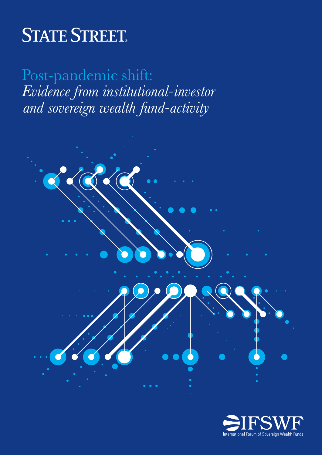# **STATE STREET.**

Post-pandemic shift: *Evidence from institutional-investor and sovereign wealth fund-activity*



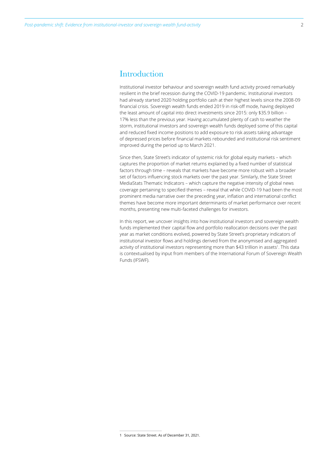# **Introduction**

Institutional investor behaviour and sovereign wealth fund activity proved remarkably resilient in the brief recession during the COVID-19 pandemic. Institutional investors had already started 2020 holding portfolio cash at their highest levels since the 2008-09 financial crisis. Sovereign wealth funds ended 2019 in risk-off mode, having deployed the least amount of capital into direct investments since 2015: only \$35.9 billion – 17% less than the previous year. Having accumulated plenty of cash to weather the storm, institutional investors and sovereign wealth funds deployed some of this capital and reduced fixed income positions to add exposure to risk assets taking advantage of depressed prices before financial markets rebounded and institutional risk sentiment improved during the period up to March 2021.

Since then, State Street's indicator of systemic risk for global equity markets – which captures the proportion of market returns explained by a fixed number of statistical factors through time – reveals that markets have become more robust with a broader set of factors influencing stock markets over the past year. Similarly, the State Street MediaStats Thematic Indicators – which capture the negative intensity of global news coverage pertaining to specified themes – reveal that while COVID-19 had been the most prominent media narrative over the preceding year, inflation and international conflict themes have become more important determinants of market performance over recent months, presenting new multi-faceted challenges for investors.

In this report, we uncover insights into how institutional investors and sovereign wealth funds implemented their capital flow and portfolio reallocation decisions over the past year as market conditions evolved, powered by State Street's proprietary indicators of institutional investor flows and holdings derived from the anonymised and aggregated activity of institutional investors representing more than \$43 trillion in assets<sup>1</sup>. This data is contextualised by input from members of the International Forum of Sovereign Wealth Funds (IFSWF).

<sup>1</sup> Source: State Street. As of December 31, 2021.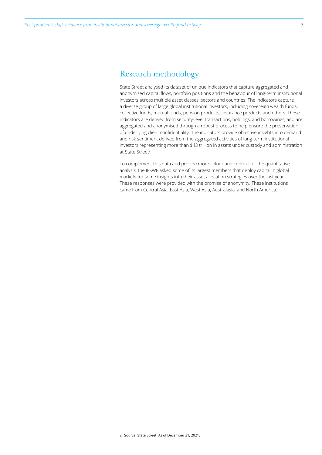State Street analysed its dataset of unique indicators that capture aggregated and anonymised capital flows, portfolio positions and the behaviour of long-term institutional investors across multiple asset classes, sectors and countries. The indicators capture a diverse group of large global institutional investors, including sovereign wealth funds, collective funds, mutual funds, pension products, insurance products and others. These indicators are derived from security-level transactions, holdings, and borrowings, and are aggregated and anonymised through a robust process to help ensure the preservation of underlying client confidentiality. The indicators provide objective insights into demand and risk sentiment derived from the aggregated activities of long-term institutional investors representing more than \$43 trillion in assets under custody and administration at State Street<sup>2</sup>.

To complement this data and provide more colour and context for the quantitative analysis, the IFSWF asked some of its largest members that deploy capital in global markets for some insights into their asset allocation strategies over the last year. These responses were provided with the promise of anonymity. These institutions came from Central Asia, East Asia, West Asia, Australasia, and North America.

<sup>2</sup> Source: State Street. As of December 31, 2021.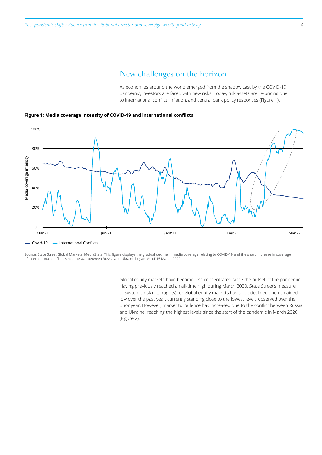### New challenges on the horizon

As economies around the world emerged from the shadow cast by the COVID-19 pandemic, investors are faced with new risks. Today, risk assets are re-pricing due to international conflict, inflation, and central bank policy responses (Figure 1).



#### **Figure 1: Media coverage intensity of COVID-19 and international conflicts**

Source: State Street Global Markets, MediaStats. This figure displays the gradual decline in media coverage relating to COVID-19 and the sharp increase in coverage of international conflicts since the war between Russia and Ukraine began. As of 15 March 2022.

> Global equity markets have become less concentrated since the outset of the pandemic. Having previously reached an all-time high during March 2020, State Street's measure of systemic risk (i.e. fragility) for global equity markets has since declined and remained low over the past year, currently standing close to the lowest levels observed over the prior year. However, market turbulence has increased due to the conflict between Russia and Ukraine, reaching the highest levels since the start of the pandemic in March 2020 (Figure 2).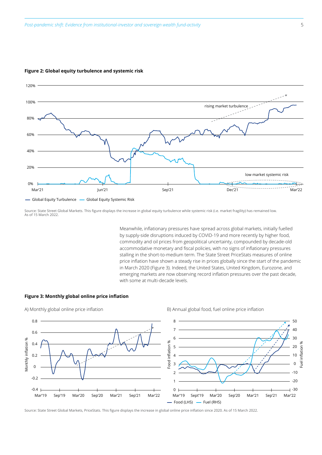

#### **Figure 2: Global equity turbulence and systemic risk**

Source: State Street Global Markets. This figure displays the increase in global equity turbulence while systemic risk (i.e. market fragility) has remained low. As of 15 March 2022.

> Meanwhile, inflationary pressures have spread across global markets, initially fuelled by supply-side disruptions induced by COVID-19 and more recently by higher food, commodity and oil prices from geopolitical uncertainty, compounded by decade-old accommodative monetary and fiscal policies, with no signs of inflationary pressures stalling in the short-to-medium term. The State Street PriceStats measures of online price inflation have shown a steady rise in prices globally since the start of the pandemic in March 2020 (Figure 3). Indeed, the United States, United Kingdom, Eurozone, and emerging markets are now observing record inflation pressures over the past decade, with some at multi-decade levels.

#### **Figure 3: Monthly global online price inflation**



A) Monthly global online price inflation and B) Annual global food, fuel online price inflation

Source: State Street Global Markets, PriceStats. This figure displays the increase in global online price inflation since 2020. As of 15 March 2022.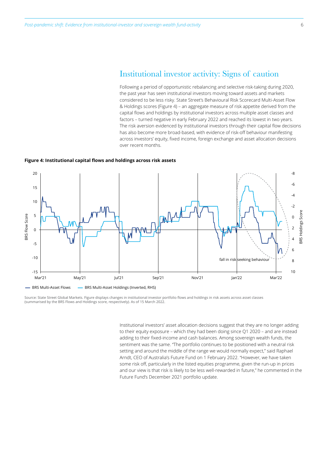### Institutional investor activity: Signs of caution

Following a period of opportunistic rebalancing and selective risk-taking during 2020, the past year has seen institutional investors moving toward assets and markets considered to be less risky. State Street's Behavioural Risk Scorecard Multi-Asset Flow & Holdings scores (Figure 4) – an aggregate measure of risk appetite derived from the capital flows and holdings by institutional investors across multiple asset classes and factors – turned negative in early February 2022 and reached its lowest in two years. The risk aversion evidenced by institutional investors through their capital flow decisions has also become more broad-based, with evidence of risk-off behaviour manifesting across investors' equity, fixed income, foreign exchange and asset allocation decisions over recent months.

#### **Figure 4: Institutional capital flows and holdings across risk assets**



Source: State Street Global Markets. Figure displays changes in institutional investor portfolio flows and holdings in risk assets across asset classes (summarised by the BRS Flows and Holdings score, respectively). As of 15 March 2022.

> Institutional investors' asset allocation decisions suggest that they are no longer adding to their equity exposure – which they had been doing since Q1 2020 – and are instead adding to their fixed-income and cash balances. Among sovereign wealth funds, the sentiment was the same. "The portfolio continues to be positioned with a neutral risk setting and around the middle of the range we would normally expect," said Raphael Arndt, CEO of Australia's Future Fund on 1 February 2022. "However, we have taken some risk off, particularly in the listed equities programme, given the run-up in prices and our view is that risk is likely to be less well-rewarded in future," he commented in the Future Fund's December 2021 portfolio update.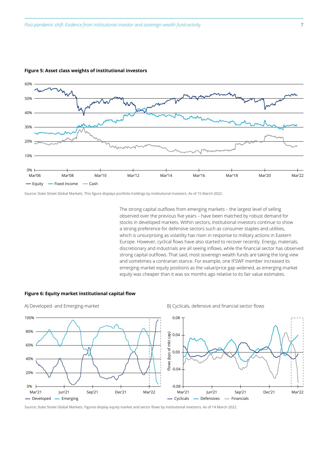

#### **Figure 5: Asset class weights of institutional investors**

Source: State Street Global Markets. This figure displays portfolio holdings by institutional investors. As of 15 March 2022.

The strong capital outflows from emerging markets – the largest level of selling observed over the previous five years – have been matched by robust demand for stocks in developed markets. Within sectors, institutional investors continue to show a strong preference for defensive sectors such as consumer staples and utilities, which is unsurprising as volatility has risen in response to military actions in Eastern Europe. However, cyclical flows have also started to recover recently. Energy, materials, discretionary and industrials are all seeing inflows, while the financial sector has observed strong capital outflows. That said, most sovereign wealth funds are taking the long view and sometimes a contrarian stance. For example, one IFSWF member increased its emerging-market equity positions as the value/price gap widened, as emerging-market equity was cheaper than it was six months ago relative to its fair value estimates.

#### **Figure 6: Equity market institutional capital flow**



#### A) Developed- and Emerging-market and Emerging-market B) Cyclicals, defensive and financial sector flows



Source: State Street Global Markets. Figures display equity market and sector flows by institutional investors. As of 14 March 2022.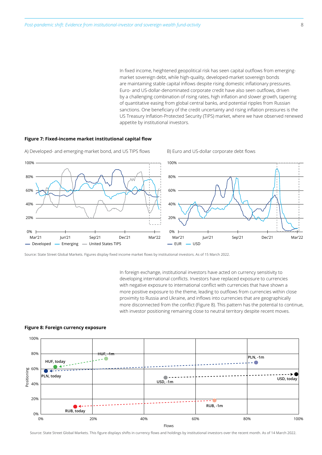In fixed income, heightened geopolitical risk has seen capital outflows from emergingmarket sovereign debt, while high-quality, developed-market sovereign bonds are maintaining stable capital inflows despite rising domestic inflationary pressures. Euro- and US-dollar-denominated corporate credit have also seen outflows, driven by a challenging combination of rising rates, high inflation and slower growth, tapering of quantitative easing from global central banks, and potential ripples from Russian sanctions. One beneficiary of the credit uncertainty and rising inflation pressures is the US Treasury Inflation-Protected Security (TIPS) market, where we have observed renewed appetite by institutional investors.

#### **Figure 7: Fixed-income market institutional capital flow**



A) Developed- and emerging-market bond, and US TIPS flows B) Euro and US-dollar corporate debt flows

Source: State Street Global Markets. Figures display fixed income market flows by institutional investors. As of 15 March 2022.

In foreign exchange, institutional investors have acted on currency sensitivity to developing international conflicts. Investors have replaced exposure to currencies with negative exposure to international conflict with currencies that have shown a more positive exposure to the theme, leading to outflows from currencies within close proximity to Russia and Ukraine, and inflows into currencies that are geographically more disconnected from the conflict (Figure 8). This pattern has the potential to continue, with investor positioning remaining close to neutral territory despite recent moves.



#### **Figure 8: Foreign currency exposure**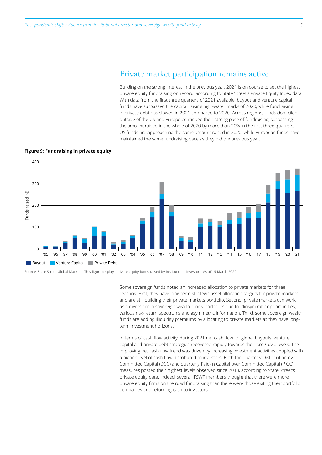## Private market participation remains active

Building on the strong interest in the previous year, 2021 is on course to set the highest private equity fundraising on record, according to State Street's Private Equity Index data. With data from the first three quarters of 2021 available, buyout and venture capital funds have surpassed the capital raising high-water marks of 2020, while fundraising in private debt has slowed in 2021 compared to 2020. Across regions, funds domiciled outside of the US and Europe continued their strong pace of fundraising, surpassing the amount raised in the whole of 2020 by more than 20% in the first three quarters. US funds are approaching the same amount raised in 2020, while European funds have maintained the same fundraising pace as they did the previous year.



#### **Figure 9: Fundraising in private equity**

Source: State Street Global Markets. This figure displays private equity funds raised by institutional investors. As of 15 March 2022.

Some sovereign funds noted an increased allocation to private markets for three reasons. First, they have long-term strategic asset allocation targets for private markets and are still building their private markets portfolio. Second, private markets can work as a diversifier in sovereign wealth funds' portfolios due to idiosyncratic opportunities, various risk-return spectrums and asymmetric information. Third, some sovereign wealth funds are adding illiquidity premiums by allocating to private markets as they have longterm investment horizons.

In terms of cash flow activity, during 2021 net cash flow for global buyouts, venture capital and private debt strategies recovered rapidly towards their pre-Covid levels. The improving net cash flow trend was driven by increasing investment activities coupled with a higher level of cash flow distributed to investors. Both the quarterly Distribution over Committed Capital (DCC) and quarterly Paid-in Capital over Committed Capital (PICC) measures posted their highest levels observed since 2013, according to State Street's private equity data. Indeed, several IFSWF members thought that there were more private equity firms on the road fundraising than there were those exiting their portfolio companies and returning cash to investors.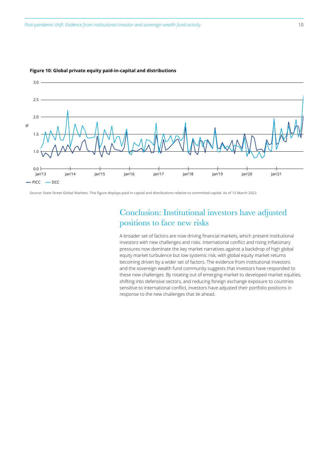

#### **Figure 10: Global private equity paid-in-capital and distributions**

Source: State Street Global Markets. This figure displays paid-in capital and distributions relative to committed capital. As of 15 March 2022.

# Conclusion: Institutional investors have adjusted positions to face new risks

A broader set of factors are now driving financial markets, which present institutional investors with new challenges and risks. International conflict and rising inflationary pressures now dominate the key market narratives against a backdrop of high global equity market turbulence but low systemic risk, with global equity market returns becoming driven by a wider set of factors. The evidence from institutional investors and the sovereign wealth fund community suggests that investors have responded to these new challenges. By rotating out of emerging-market to developed-market equities, shifting into defensive sectors, and reducing foreign exchange exposure to countries sensitive to international conflict, investors have adjusted their portfolio positions in response to the new challenges that lie ahead.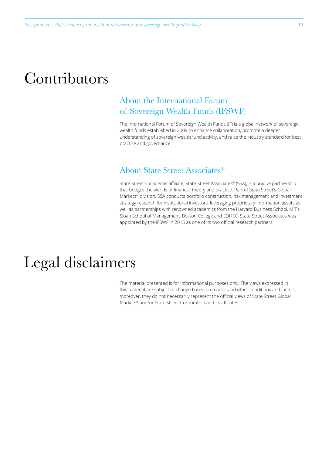# Contributors

# About the International Forum of Sovereign Wealth Funds (IFSWF)

The International Forum of Sovereign Wealth Funds (IF) is a global network of sovereign wealth funds established in 2009 to enhance collaboration, promote a deeper understanding of sovereign wealth fund activity, and raise the industry standard for best practice and governance.

# About State Street Associates®

State Street's academic affiliate, State Street Associates® (SSA), is a unique partnership that bridges the worlds of financial theory and practice. Part of State Street's Global Markets® division, SSA conducts portfolio construction, risk management and investment strategy research for institutional investors, leveraging proprietary information assets as well as partnerships with renowned academics from the Harvard Business School, MIT's Sloan School of Management, Boston College and EDHEC. State Street Associates was appointed by the IFSWF in 2016 as one of its two official research partners.

# Legal disclaimers

The material presented is for informational purposes only. The views expressed in this material are subject to change based on market and other conditions and factors, moreover, they do not necessarily represent the official views of State Street Global Markets® and/or State Street Corporation and its affiliates.